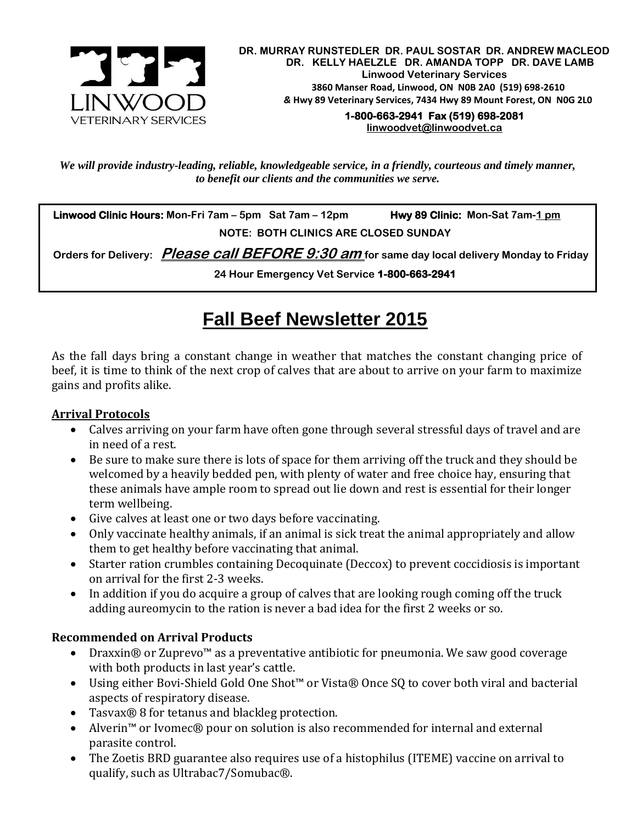

 **DR. MURRAY RUNSTEDLER DR. PAUL SOSTAR DR. ANDREW MACLEOD DR. KELLY HAELZLE DR. AMANDA TOPP DR. DAVE LAMB Linwood Veterinary Services 3860 Manser Road, Linwood, ON N0B 2A0 (519) 698-2610** *&* **Hwy 89 Veterinary Services, 7434 Hwy 89 Mount Forest, ON N0G 2L0 1-800-663-2941 Fax (519) 698-2081** 

**[linwoodvet@linwoodvet.ca](mailto:linwoodvet@linwoodvet.ca)**

*We will provide industry-leading, reliable, knowledgeable service, in a friendly, courteous and timely manner, to benefit our clients and the communities we serve.*

 **Linwood Clinic Hours: Mon-Fri 7am – 5pm Sat 7am – 12pm Hwy 89 Clinic: Mon-Sat 7am-1 pm NOTE: BOTH CLINICS ARE CLOSED SUNDAY**

 **Orders for Delivery: Please call BEFORE 9:30 am for same day local delivery Monday to Friday** 

**24 Hour Emergency Vet Service 1-800-663-2941** 

# **Fall Beef Newsletter 2015**

As the fall days bring a constant change in weather that matches the constant changing price of beef, it is time to think of the next crop of calves that are about to arrive on your farm to maximize gains and profits alike.

#### **Arrival Protocols**

- Calves arriving on your farm have often gone through several stressful days of travel and are in need of a rest.
- Be sure to make sure there is lots of space for them arriving off the truck and they should be welcomed by a heavily bedded pen, with plenty of water and free choice hay, ensuring that these animals have ample room to spread out lie down and rest is essential for their longer term wellbeing.
- Give calves at least one or two days before vaccinating.
- Only vaccinate healthy animals, if an animal is sick treat the animal appropriately and allow them to get healthy before vaccinating that animal.
- Starter ration crumbles containing Decoquinate (Deccox) to prevent coccidiosis is important on arrival for the first 2-3 weeks.
- In addition if you do acquire a group of calves that are looking rough coming off the truck adding aureomycin to the ration is never a bad idea for the first 2 weeks or so.

#### **Recommended on Arrival Products**

- Draxxin® or Zuprevo<sup>™</sup> as a preventative antibiotic for pneumonia. We saw good coverage with both products in last year's cattle.
- Using either Bovi-Shield Gold One Shot™ or Vista® Once SQ to cover both viral and bacterial aspects of respiratory disease.
- Tasvax® 8 for tetanus and blackleg protection.
- Alverin™ or Ivomec® pour on solution is also recommended for internal and external parasite control.
- The Zoetis BRD guarantee also requires use of a histophilus (ITEME) vaccine on arrival to qualify, such as Ultrabac7/Somubac®.